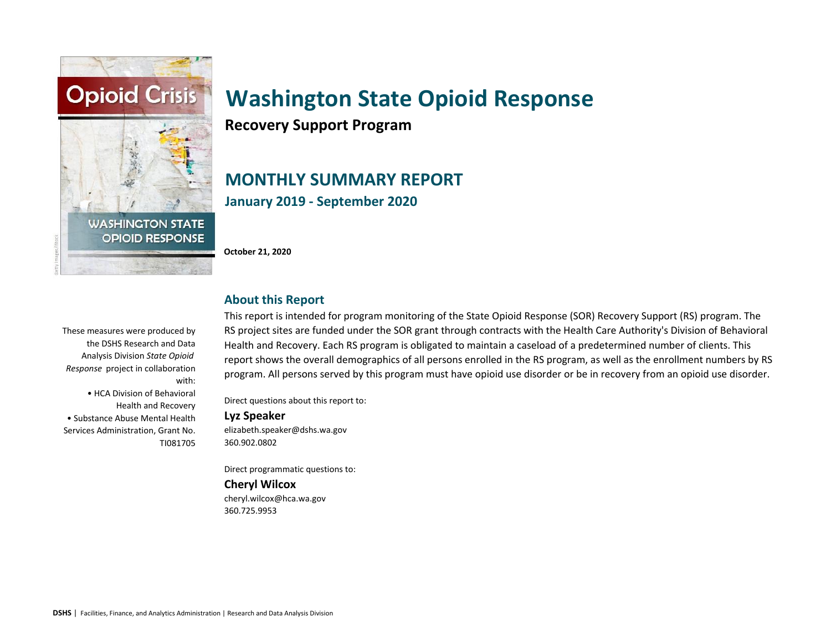

**Recovery Support Program**

# **MONTHLY SUMMARY REPORT January 2019 - September 2020**

**October 21, 2020**

### **About this Report**

These measures were produced by the DSHS Research and Data Analysis Division *State Opioid Response* project in collaboration with:

• HCA Division of Behavioral Health and Recovery • Substance Abuse Mental Health Services Administration, Grant No. TI081705 This report is intended for program monitoring of the State Opioid Response (SOR) Recovery Support (RS) program. The RS project sites are funded under the SOR grant through contracts with the Health Care Authority's Division of Behavioral Health and Recovery. Each RS program is obligated to maintain a caseload of a predetermined number of clients. This report shows the overall demographics of all persons enrolled in the RS program, as well as the enrollment numbers by RS program. All persons served by this program must have opioid use disorder or be in recovery from an opioid use disorder.

Direct questions about this report to:

#### **Lyz Speaker**

elizabeth.speaker@dshs.wa.gov 360.902.0802

Direct programmatic questions to:

#### **Cheryl Wilcox**

cheryl.wilcox@hca.wa.gov 360.725.9953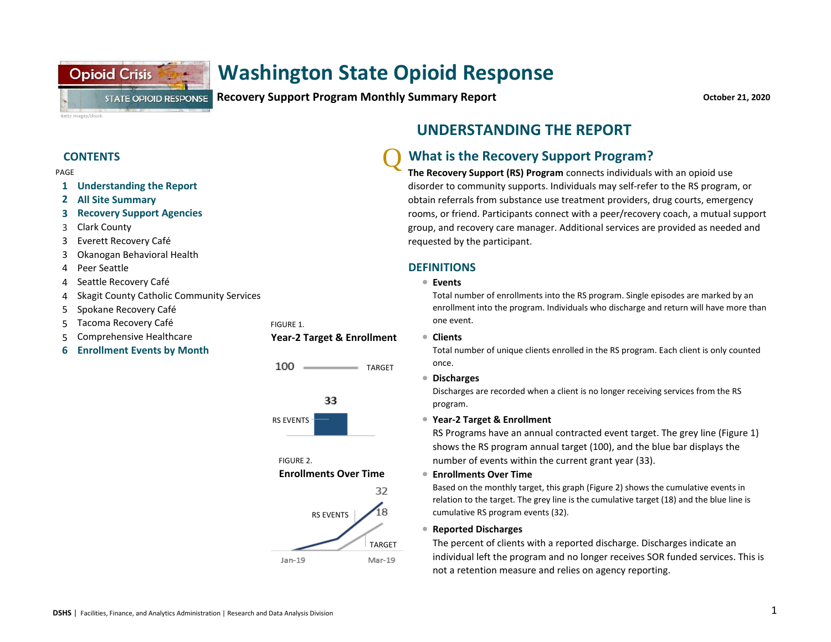**Recovery Support Program Monthly Summary Report CONSIDERITY CONSIDERITY CONSIDERITY CONSIDERITY October 21, 2020** 

Getty Images/iStoc

PAGE

- **1 Understanding the Report**
- **2 All Site Summary**

**Opioid Crisis** 

- **3 Recovery Support Agencies**
- 3 Clark County
- 3 Everett Recovery Café
- 3 Okanogan Behavioral Health
- 4 Peer Seattle
- 4 <sup>l</sup> Seattle Recovery Café
- 4 Skagit County Catholic Community Services

**STATE OPIOID RESPONSE** 

- 5 Spokane Recovery Café
- 5 Tacoma Recovery Café FIGURE 1.
- 5 Comprehensive Healthcare **Manuel Star-2 Target & Enrollment** Comprehensive Healthcare
- **6 Enrollment Events by Month**



100

TARGET

FIGURE 2. **Enrollments Over Time** 32 18 RS EVENTS TARGET Jan-19 Mar-19

### **UNDERSTANDING THE REPORT**

### **CONTENTS** CONTENTS

**The Recovery Support (RS) Program** connects individuals with an opioid use disorder to community supports. Individuals may self-refer to the RS program, or obtain referrals from substance use treatment providers, drug courts, emergency rooms, or friend. Participants connect with a peer/recovery coach, a mutual support group, and recovery care manager. Additional services are provided as needed and requested by the participant.

#### **DEFINITIONS**

**Events**

Total number of enrollments into the RS program. Single episodes are marked by an enrollment into the program. Individuals who discharge and return will have more than one event.

**Clients** 

Total number of unique clients enrolled in the RS program. Each client is only counted once.

l **Discharges** 

Discharges are recorded when a client is no longer receiving services from the RS program.

#### ● Year-2 Target & Enrollment

RS Programs have an annual contracted event target. The grey line (Figure 1) shows the RS program annual target (100), and the blue bar displays the number of events within the current grant year (33).

**• Enrollments Over Time** 

Based on the monthly target, this graph (Figure 2) shows the cumulative events in relation to the target. The grey line is the cumulative target (18) and the blue line is cumulative RS program events (32).

#### l **Reported Discharges**

The percent of clients with a reported discharge. Discharges indicate an individual left the program and no longer receives SOR funded services. This is not a retention measure and relies on agency reporting.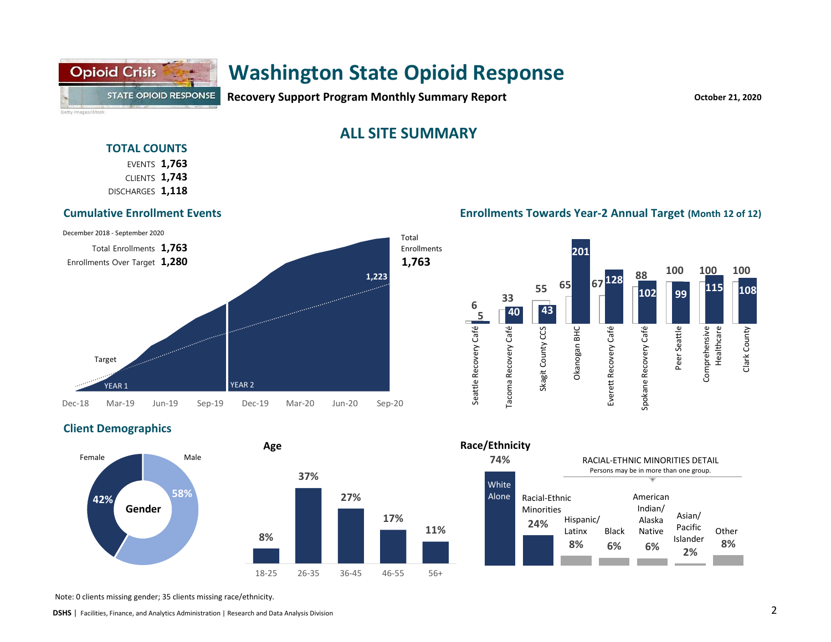## **Opioid Crisis** STATE OPIOID RESPONSE Getty Images/iStock

# **Washington State Opioid Response**

**Recovery Support Program Monthly Summary Report COVID-10 COVID-10 October 21, 2020** 

### **ALL SITE SUMMARY**

#### **TOTAL COUNTS**

**1,763** EVENTS **1,743** CLIENTS DISCHARGES 1,118

#### **Cumulative Enrollment Events**



#### **Enrollments Towards Year-2 Annual Target (Month 12 of 12)**



#### **Client Demographics**



#### **Race/Ethnicity**



Note: 0 clients missing gender; 35 clients missing race/ethnicity.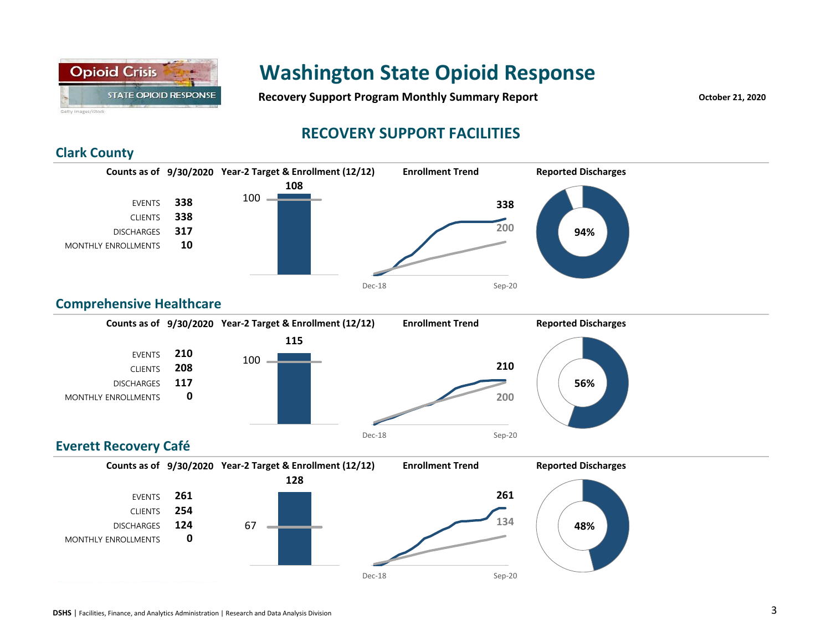

**Recovery Support Program Monthly Summary Report CONSCRUPTION** October 21, 2020

## **RECOVERY SUPPORT FACILITIES**

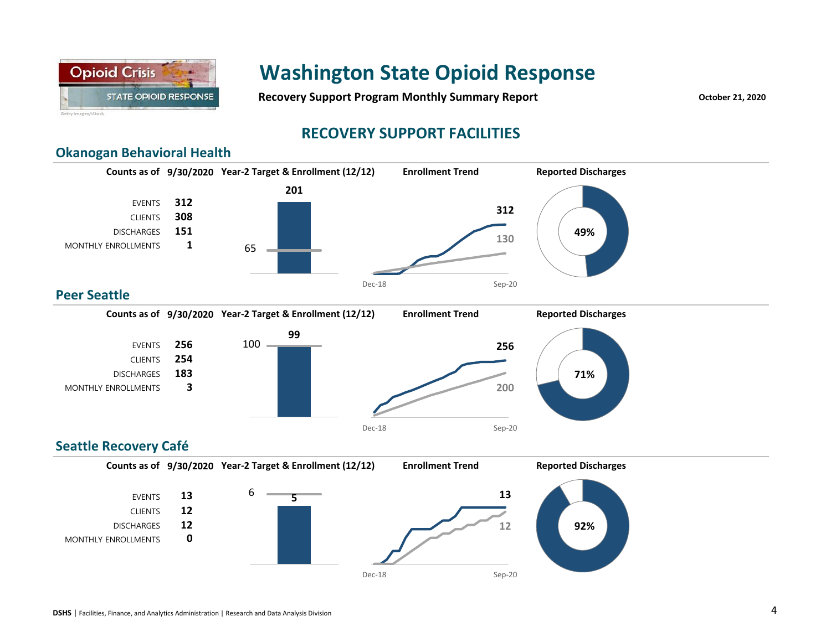

**Recovery Support Program Monthly Summary Report CONSCRUPTION** October 21, 2020

### **RECOVERY SUPPORT FACILITIES**

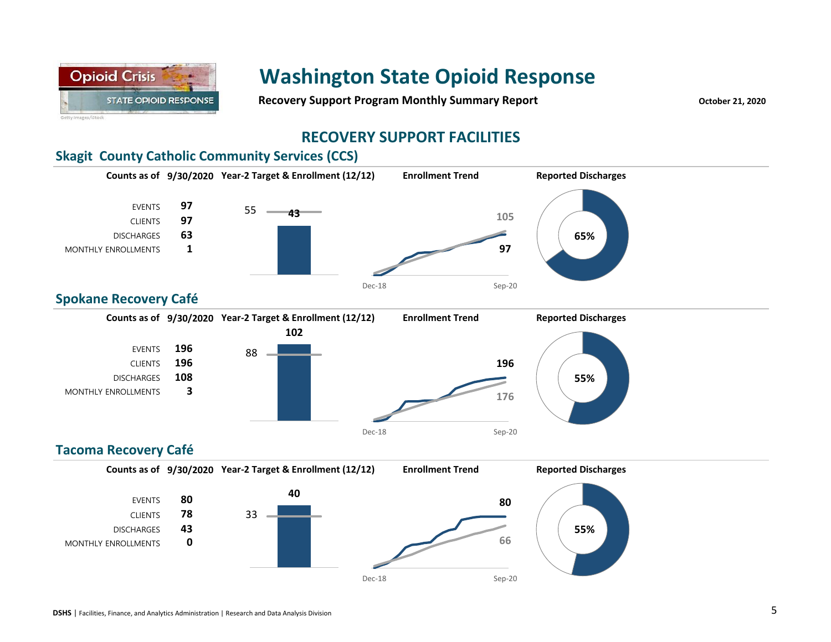

**Recovery Support Program Monthly Summary Report CENSIFY And Algorithm CONTERNATION** October 21, 2020

### **RECOVERY SUPPORT FACILITIES**

### **Skagit County Catholic Community Services (CCS)**

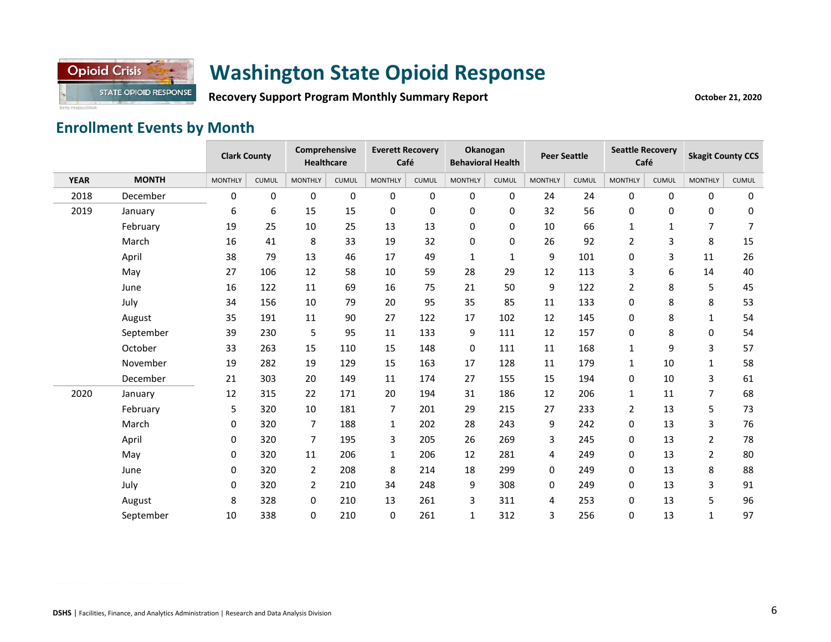

Recovery Support Program Monthly Summary Report **Containery Active Active Act Act Act Act 21, 2020** 

# **Enrollment Events by Month**

|             |              | <b>Clark County</b> |              | Comprehensive<br>Healthcare |              | <b>Everett Recovery</b><br>Café |              | Okanogan<br><b>Behavioral Health</b> |              | <b>Peer Seattle</b> |              | <b>Seattle Recovery</b><br>Café |              | <b>Skagit County CCS</b> |              |
|-------------|--------------|---------------------|--------------|-----------------------------|--------------|---------------------------------|--------------|--------------------------------------|--------------|---------------------|--------------|---------------------------------|--------------|--------------------------|--------------|
| <b>YEAR</b> | <b>MONTH</b> | <b>MONTHLY</b>      | <b>CUMUL</b> | <b>MONTHLY</b>              | <b>CUMUL</b> | <b>MONTHLY</b>                  | <b>CUMUL</b> | <b>MONTHLY</b>                       | <b>CUMUL</b> | <b>MONTHLY</b>      | <b>CUMUL</b> | <b>MONTHLY</b>                  | <b>CUMUL</b> | <b>MONTHLY</b>           | <b>CUMUL</b> |
| 2018        | December     | 0                   | 0            | 0                           | 0            | 0                               | 0            | 0                                    | 0            | 24                  | 24           | 0                               | 0            | 0                        | 0            |
| 2019        | January      | 6                   | 6            | 15                          | 15           | 0                               | 0            | 0                                    | 0            | 32                  | 56           | 0                               | 0            | $\mathbf{0}$             | 0            |
|             | February     | 19                  | 25           | 10                          | 25           | 13                              | 13           | 0                                    | $\pmb{0}$    | 10                  | 66           | $\mathbf{1}$                    | 1            | $\overline{7}$           | 7            |
|             | March        | 16                  | 41           | 8                           | 33           | 19                              | 32           | 0                                    | 0            | 26                  | 92           | 2                               | 3            | 8                        | 15           |
|             | April        | 38                  | 79           | 13                          | 46           | 17                              | 49           | 1                                    | $\mathbf{1}$ | 9                   | 101          | 0                               | 3            | 11                       | 26           |
|             | May          | 27                  | 106          | 12                          | 58           | 10                              | 59           | 28                                   | 29           | 12                  | 113          | 3                               | 6            | 14                       | 40           |
|             | June         | 16                  | 122          | 11                          | 69           | 16                              | 75           | 21                                   | 50           | 9                   | 122          | $\overline{2}$                  | 8            | 5                        | 45           |
|             | July         | 34                  | 156          | 10                          | 79           | 20                              | 95           | 35                                   | 85           | 11                  | 133          | 0                               | 8            | 8                        | 53           |
|             | August       | 35                  | 191          | 11                          | 90           | 27                              | 122          | 17                                   | 102          | 12                  | 145          | 0                               | 8            | $\mathbf{1}$             | 54           |
|             | September    | 39                  | 230          | 5                           | 95           | 11                              | 133          | 9                                    | 111          | 12                  | 157          | 0                               | 8            | $\mathbf{0}$             | 54           |
|             | October      | 33                  | 263          | 15                          | 110          | 15                              | 148          | 0                                    | 111          | 11                  | 168          | $\mathbf{1}$                    | 9            | 3                        | 57           |
|             | November     | 19                  | 282          | 19                          | 129          | 15                              | 163          | 17                                   | 128          | 11                  | 179          | $\mathbf{1}$                    | 10           | $\mathbf{1}$             | 58           |
|             | December     | 21                  | 303          | 20                          | 149          | 11                              | 174          | 27                                   | 155          | 15                  | 194          | 0                               | 10           | 3                        | 61           |
| 2020        | January      | 12                  | 315          | 22                          | 171          | 20                              | 194          | 31                                   | 186          | 12                  | 206          | 1                               | 11           | $\overline{7}$           | 68           |
|             | February     | 5                   | 320          | 10                          | 181          | 7                               | 201          | 29                                   | 215          | 27                  | 233          | $\overline{2}$                  | 13           | 5                        | 73           |
|             | March        | 0                   | 320          | $\overline{7}$              | 188          | $\mathbf{1}$                    | 202          | 28                                   | 243          | 9                   | 242          | 0                               | 13           | 3                        | 76           |
|             | April        | 0                   | 320          | 7                           | 195          | 3                               | 205          | 26                                   | 269          | 3                   | 245          | 0                               | 13           | $\overline{2}$           | 78           |
|             | May          | 0                   | 320          | 11                          | 206          | $\mathbf{1}$                    | 206          | 12                                   | 281          | 4                   | 249          | 0                               | 13           | $\overline{2}$           | 80           |
|             | June         | 0                   | 320          | $\overline{2}$              | 208          | 8                               | 214          | 18                                   | 299          | 0                   | 249          | 0                               | 13           | 8                        | 88           |
|             | July         | 0                   | 320          | $\overline{2}$              | 210          | 34                              | 248          | 9                                    | 308          | 0                   | 249          | 0                               | 13           | 3                        | 91           |
|             | August       | 8                   | 328          | 0                           | 210          | 13                              | 261          | 3                                    | 311          | 4                   | 253          | 0                               | 13           | 5                        | 96           |
|             | September    | 10                  | 338          | 0                           | 210          | 0                               | 261          | 1                                    | 312          | 3                   | 256          | 0                               | 13           | $\mathbf{1}$             | 97           |